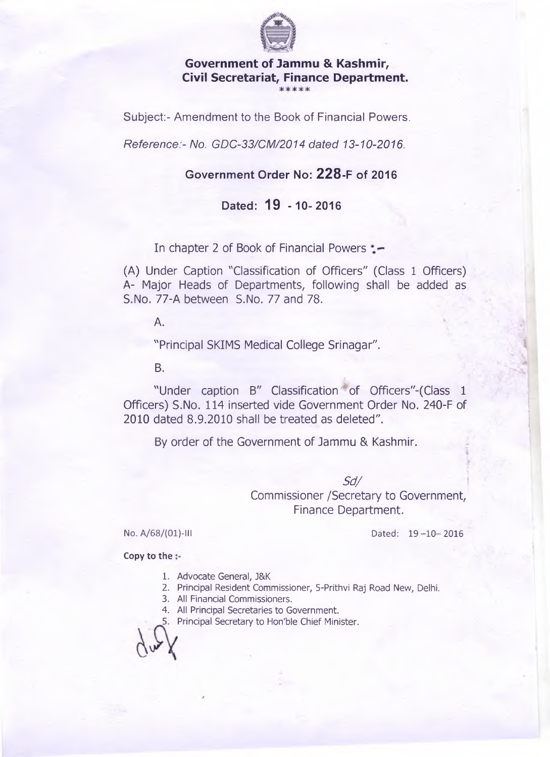

**Government of Jammu & Kashmir, Civil Secretariat, Finance Department.**

Subject:- Amendment to the Book of Financial Powers.

*Reference:- No. GDC-33/CM/2014 dated 13-10-2016.*

## **Government Order No: 228-F of 2016**

## **Dated: 19 -10-2016**

In chapter 2 of Book of Financial Powers : -

(A) Under Caption "Classification of Officers" (Class 1 Officers) A- Major Heads of Departments, following shall be added as S.No. 77-A between S.No. 77 and 78.

A.

"Principal SKIMS Medical College Srinagar".

B.

"Under caption B" Classification of Officers"-(Class 1 Officers) S.No. 114 inserted vide Government Order No. 240-F of 2010 dated 8.9.2010 shall be treated as deleted".

By order of the Government of Jammu & Kashmir.

*Sd/* Commissioner /Secretary to Government, Finance Department.

No. A/68/(01)-III Dated: 19-10-2016

**Copy to the**

- 1. Advocate General, J&K
- 2. Principal Resident Commissioner, 5-Prithvi Raj Road New, Delhi.
- 3. All Financial Commissioners.
- 4. All Principal Secretaries to Government.

5. Principal Secretary to Hon'ble Chief Minister.